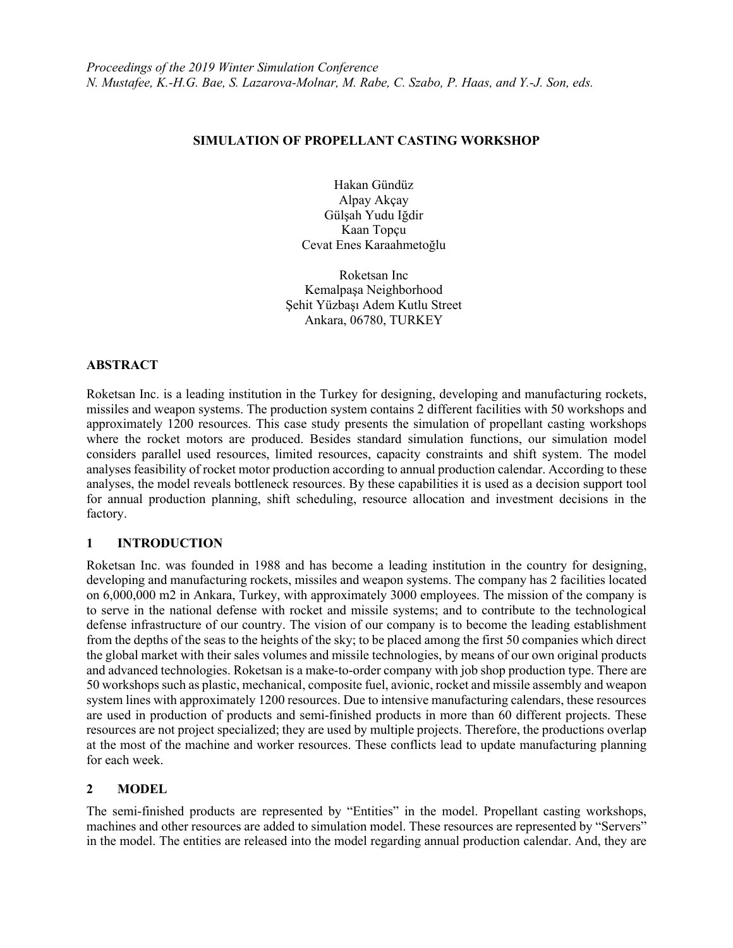### **SIMULATION OF PROPELLANT CASTING WORKSHOP**

Hakan Gündüz Alpay Akçay Gülşah Yudu Iğdir Kaan Topçu Cevat Enes Karaahmetoğlu

Roketsan Inc Kemalpaşa Neighborhood Şehit Yüzbaşı Adem Kutlu Street Ankara, 06780, TURKEY

#### **ABSTRACT**

Roketsan Inc. is a leading institution in the Turkey for designing, developing and manufacturing rockets, missiles and weapon systems. The production system contains 2 different facilities with 50 workshops and approximately 1200 resources. This case study presents the simulation of propellant casting workshops where the rocket motors are produced. Besides standard simulation functions, our simulation model considers parallel used resources, limited resources, capacity constraints and shift system. The model analyses feasibility of rocket motor production according to annual production calendar. According to these analyses, the model reveals bottleneck resources. By these capabilities it is used as a decision support tool for annual production planning, shift scheduling, resource allocation and investment decisions in the factory.

# **1 INTRODUCTION**

Roketsan Inc. was founded in 1988 and has become a leading institution in the country for designing, developing and manufacturing rockets, missiles and weapon systems. The company has 2 facilities located on 6,000,000 m2 in Ankara, Turkey, with approximately 3000 employees. The mission of the company is to serve in the national defense with rocket and missile systems; and to contribute to the technological defense infrastructure of our country. The vision of our company is to become the leading establishment from the depths of the seas to the heights of the sky; to be placed among the first 50 companies which direct the global market with their sales volumes and missile technologies, by means of our own original products and advanced technologies. Roketsan is a make-to-order company with job shop production type. There are 50 workshops such as plastic, mechanical, composite fuel, avionic, rocket and missile assembly and weapon system lines with approximately 1200 resources. Due to intensive manufacturing calendars, these resources are used in production of products and semi-finished products in more than 60 different projects. These resources are not project specialized; they are used by multiple projects. Therefore, the productions overlap at the most of the machine and worker resources. These conflicts lead to update manufacturing planning for each week.

### **2 MODEL**

The semi-finished products are represented by "Entities" in the model. Propellant casting workshops, machines and other resources are added to simulation model. These resources are represented by "Servers" in the model. The entities are released into the model regarding annual production calendar. And, they are